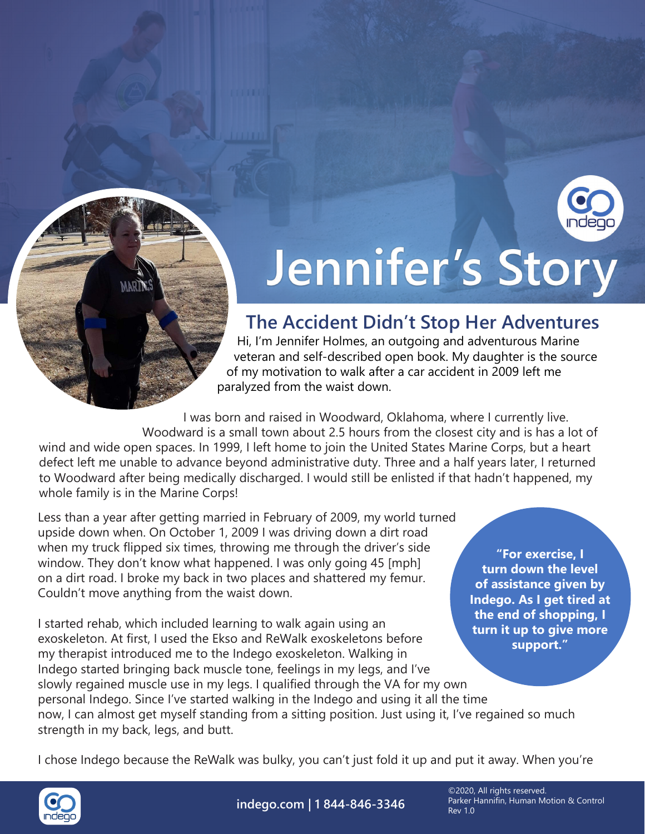

## Jennifer's Story

## **The Accident Didn't Stop Her Adventures**

Hi, I'm Jennifer Holmes, an outgoing and adventurous Marine veteran and self-described open book. My daughter is the source of my motivation to walk after a car accident in 2009 left me paralyzed from the waist down.

I was born and raised in Woodward, Oklahoma, where I currently live. Woodward is a small town about 2.5 hours from the closest city and is has a lot of wind and wide open spaces. In 1999, I left home to join the United States Marine Corps, but a heart defect left me unable to advance beyond administrative duty. Three and a half years later, I returned to Woodward after being medically discharged. I would still be enlisted if that hadn't happened, my whole family is in the Marine Corps!

Less than a year after getting married in February of 2009, my world turned upside down when. On October 1, 2009 I was driving down a dirt road when my truck flipped six times, throwing me through the driver's side window. They don't know what happened. I was only going 45 [mph] on a dirt road. I broke my back in two places and shattered my femur. Couldn't move anything from the waist down.

**"For exercise, I turn down the level of assistance given by Indego. As I get tired at the end of shopping, I turn it up to give more** 

I started rehab, which included learning to walk again using an exoskeleton. At first, I used the Ekso and ReWalk exoskeletons before my therapist introduced me to the Indego exoskeleton. Walking in Indego started bringing back muscle tone, feelings in my legs, and I've slowly regained muscle use in my legs. I qualified through the VA for my own personal Indego. Since I've started walking in the Indego and using it all the time now, I can almost get myself standing from a sitting position. Just using it, I've regained so much strength in my back, legs, and butt. **support."**

I chose Indego because the ReWalk was bulky, you can't just fold it up and put it away. When you're



**indego.com | 1 844-846-3346**